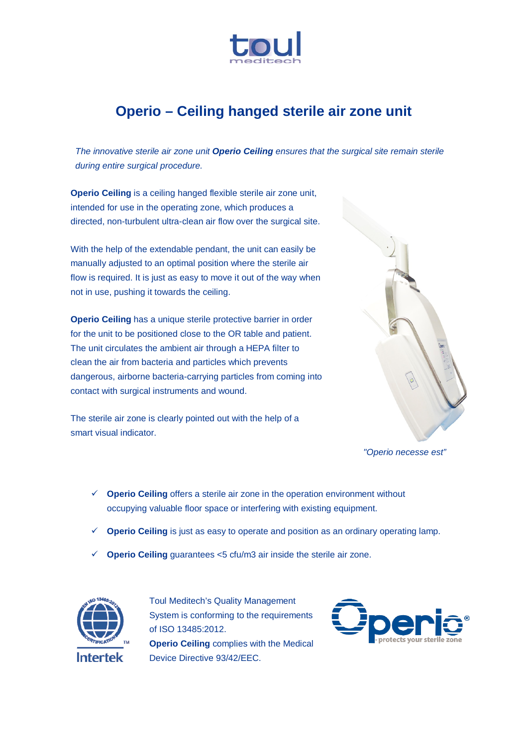

## **Operio – Ceiling hanged sterile air zone unit**

*The innovative sterile air zone unit Operio Ceiling ensures that the surgical site remain sterile during entire surgical procedure.* 

**Operio Ceiling** is a ceiling hanged flexible sterile air zone unit, intended for use in the operating zone, which produces a directed, non-turbulent ultra-clean air flow over the surgical site.

With the help of the extendable pendant, the unit can easily be manually adjusted to an optimal position where the sterile air flow is required. It is just as easy to move it out of the way when not in use, pushing it towards the ceiling.

**Operio Ceiling** has a unique sterile protective barrier in order for the unit to be positioned close to the OR table and patient. The unit circulates the ambient air through a HEPA filter to clean the air from bacteria and particles which prevents dangerous, airborne bacteria-carrying particles from coming into contact with surgical instruments and wound.

The sterile air zone is clearly pointed out with the help of a smart visual indicator.



*"Operio necesse est"*

- **Operio Ceiling** offers a sterile air zone in the operation environment without occupying valuable floor space or interfering with existing equipment.
- **Operio Ceiling** is just as easy to operate and position as an ordinary operating lamp.
- $\checkmark$  **Operio Ceiling** guarantees <5 cfu/m3 air inside the sterile air zone.



Toul Meditech's Quality Management System is conforming to the requirements of ISO 13485:2012. **Operio Ceiling** complies with the Medical Device Directive 93/42/EEC.